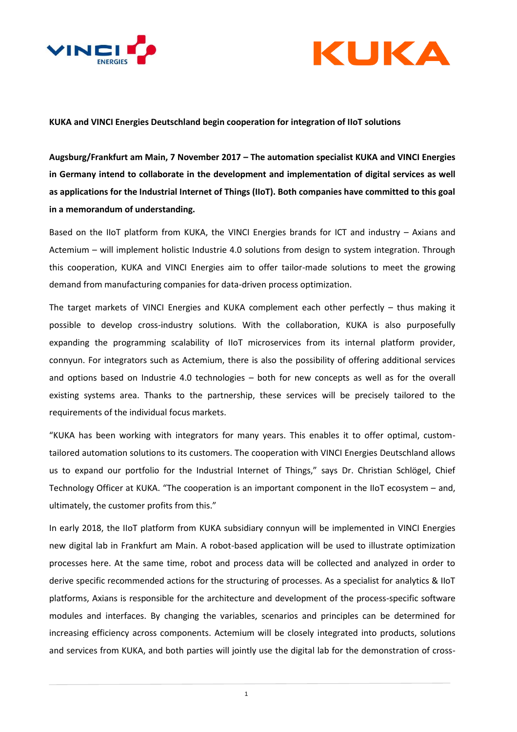



# **KUKA and VINCI Energies Deutschland begin cooperation for integration of IIoT solutions**

**Augsburg/Frankfurt am Main, 7 November 2017 – The automation specialist KUKA and VINCI Energies in Germany intend to collaborate in the development and implementation of digital services as well as applications for the Industrial Internet of Things (IIoT). Both companies have committed to this goal in a memorandum of understanding.**

Based on the IIoT platform from KUKA, the VINCI Energies brands for ICT and industry – Axians and Actemium – will implement holistic Industrie 4.0 solutions from design to system integration. Through this cooperation, KUKA and VINCI Energies aim to offer tailor-made solutions to meet the growing demand from manufacturing companies for data-driven process optimization.

The target markets of VINCI Energies and KUKA complement each other perfectly – thus making it possible to develop cross-industry solutions. With the collaboration, KUKA is also purposefully expanding the programming scalability of IIoT microservices from its internal platform provider, connyun. For integrators such as Actemium, there is also the possibility of offering additional services and options based on Industrie 4.0 technologies – both for new concepts as well as for the overall existing systems area. Thanks to the partnership, these services will be precisely tailored to the requirements of the individual focus markets.

"KUKA has been working with integrators for many years. This enables it to offer optimal, customtailored automation solutions to its customers. The cooperation with VINCI Energies Deutschland allows us to expand our portfolio for the Industrial Internet of Things," says Dr. Christian Schlögel, Chief Technology Officer at KUKA. "The cooperation is an important component in the IIoT ecosystem – and, ultimately, the customer profits from this."

In early 2018, the IIoT platform from KUKA subsidiary connyun will be implemented in VINCI Energies new digital lab in Frankfurt am Main. A robot-based application will be used to illustrate optimization processes here. At the same time, robot and process data will be collected and analyzed in order to derive specific recommended actions for the structuring of processes. As a specialist for analytics & IIoT platforms, Axians is responsible for the architecture and development of the process-specific software modules and interfaces. By changing the variables, scenarios and principles can be determined for increasing efficiency across components. Actemium will be closely integrated into products, solutions and services from KUKA, and both parties will jointly use the digital lab for the demonstration of cross-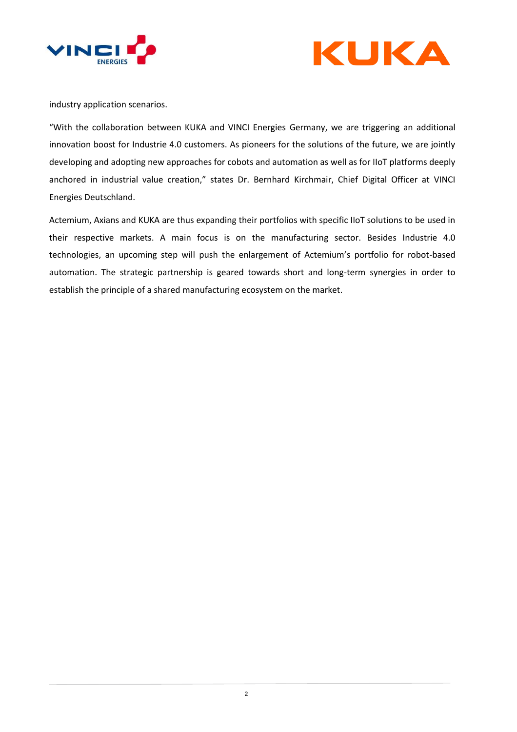



industry application scenarios.

"With the collaboration between KUKA and VINCI Energies Germany, we are triggering an additional innovation boost for Industrie 4.0 customers. As pioneers for the solutions of the future, we are jointly developing and adopting new approaches for cobots and automation as well as for IIoT platforms deeply anchored in industrial value creation," states Dr. Bernhard Kirchmair, Chief Digital Officer at VINCI Energies Deutschland.

Actemium, Axians and KUKA are thus expanding their portfolios with specific IIoT solutions to be used in their respective markets. A main focus is on the manufacturing sector. Besides Industrie 4.0 technologies, an upcoming step will push the enlargement of Actemium's portfolio for robot-based automation. The strategic partnership is geared towards short and long-term synergies in order to establish the principle of a shared manufacturing ecosystem on the market.